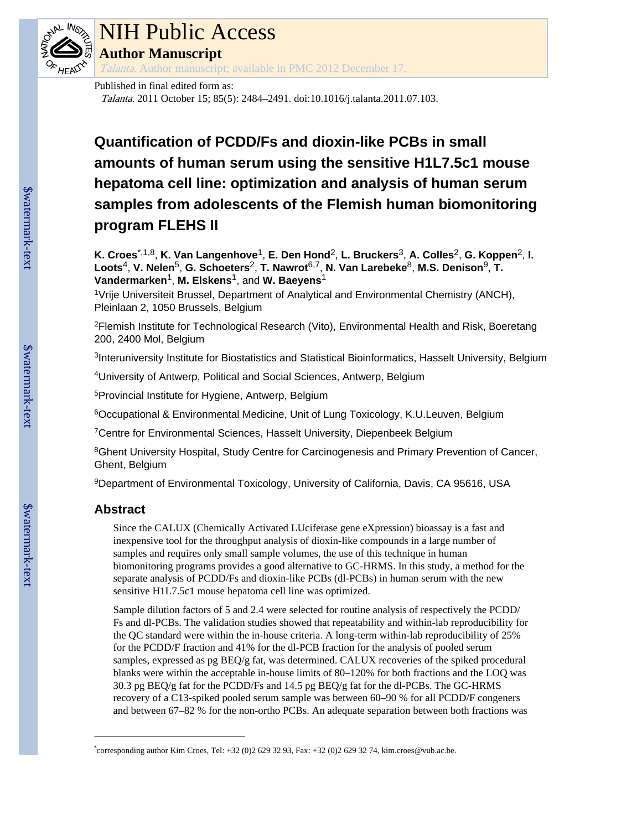

# NIH Public Access **Author Manuscript**

Talanta. Author manuscript; available in PMC 2012 December 17.

# Published in final edited form as:

Talanta. 2011 October 15; 85(5): 2484–2491. doi:10.1016/j.talanta.2011.07.103.

# **Quantification of PCDD/Fs and dioxin-like PCBs in small amounts of human serum using the sensitive H1L7.5c1 mouse hepatoma cell line: optimization and analysis of human serum samples from adolescents of the Flemish human biomonitoring program FLEHS II**

**K. Croes**\*,1,8, **K. Van Langenhove**1, **E. Den Hond**2, **L. Bruckers**3, **A. Colles**2, **G. Koppen**2, **I. Loots**4, **V. Nelen**5, **G. Schoeters**2, **T. Nawrot**6,7, **N. Van Larebeke**8, **M.S. Denison**9, **T. Vandermarken**1, **M. Elskens**1, and **W. Baeyens**<sup>1</sup>

<sup>1</sup>Vrije Universiteit Brussel, Department of Analytical and Environmental Chemistry (ANCH), Pleinlaan 2, 1050 Brussels, Belgium

<sup>2</sup>Flemish Institute for Technological Research (Vito), Environmental Health and Risk, Boeretang 200, 2400 Mol, Belgium

<sup>3</sup>Interuniversity Institute for Biostatistics and Statistical Bioinformatics, Hasselt University, Belgium

<sup>4</sup>University of Antwerp, Political and Social Sciences, Antwerp, Belgium

<sup>5</sup>Provincial Institute for Hygiene, Antwerp, Belgium

<sup>6</sup>Occupational & Environmental Medicine, Unit of Lung Toxicology, K.U.Leuven, Belgium

<sup>7</sup>Centre for Environmental Sciences, Hasselt University, Diepenbeek Belgium

<sup>8</sup>Ghent University Hospital, Study Centre for Carcinogenesis and Primary Prevention of Cancer, Ghent, Belgium

<sup>9</sup>Department of Environmental Toxicology, University of California, Davis, CA 95616, USA

# **Abstract**

Since the CALUX (Chemically Activated LUciferase gene eXpression) bioassay is a fast and inexpensive tool for the throughput analysis of dioxin-like compounds in a large number of samples and requires only small sample volumes, the use of this technique in human biomonitoring programs provides a good alternative to GC-HRMS. In this study, a method for the separate analysis of PCDD/Fs and dioxin-like PCBs (dl-PCBs) in human serum with the new sensitive H1L7.5c1 mouse hepatoma cell line was optimized.

Sample dilution factors of 5 and 2.4 were selected for routine analysis of respectively the PCDD/ Fs and dl-PCBs. The validation studies showed that repeatability and within-lab reproducibility for the QC standard were within the in-house criteria. A long-term within-lab reproducibility of 25% for the PCDD/F fraction and 41% for the dl-PCB fraction for the analysis of pooled serum samples, expressed as pg BEQ/g fat, was determined. CALUX recoveries of the spiked procedural blanks were within the acceptable in-house limits of 80–120% for both fractions and the LOQ was 30.3 pg BEQ/g fat for the PCDD/Fs and 14.5 pg BEQ/g fat for the dl-PCBs. The GC-HRMS recovery of a C13-spiked pooled serum sample was between 60–90 % for all PCDD/F congeners and between 67–82 % for the non-ortho PCBs. An adequate separation between both fractions was

<sup>\*</sup> corresponding author Kim Croes, Tel: +32 (0)2 629 32 93, Fax: +32 (0)2 629 32 74, kim.croes@vub.ac.be.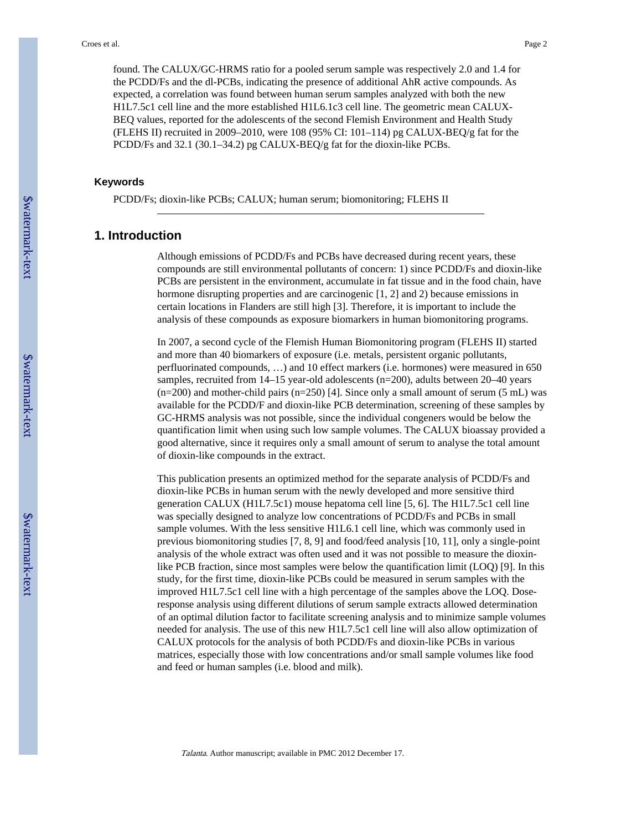found. The CALUX/GC-HRMS ratio for a pooled serum sample was respectively 2.0 and 1.4 for the PCDD/Fs and the dl-PCBs, indicating the presence of additional AhR active compounds. As expected, a correlation was found between human serum samples analyzed with both the new H1L7.5c1 cell line and the more established H1L6.1c3 cell line. The geometric mean CALUX-BEQ values, reported for the adolescents of the second Flemish Environment and Health Study (FLEHS II) recruited in 2009–2010, were 108 (95% CI: 101–114) pg CALUX-BEQ/g fat for the PCDD/Fs and 32.1 (30.1–34.2) pg CALUX-BEQ/g fat for the dioxin-like PCBs.

#### **Keywords**

PCDD/Fs; dioxin-like PCBs; CALUX; human serum; biomonitoring; FLEHS II

# **1. Introduction**

Although emissions of PCDD/Fs and PCBs have decreased during recent years, these compounds are still environmental pollutants of concern: 1) since PCDD/Fs and dioxin-like PCBs are persistent in the environment, accumulate in fat tissue and in the food chain, have hormone disrupting properties and are carcinogenic [1, 2] and 2) because emissions in certain locations in Flanders are still high [3]. Therefore, it is important to include the analysis of these compounds as exposure biomarkers in human biomonitoring programs.

In 2007, a second cycle of the Flemish Human Biomonitoring program (FLEHS II) started and more than 40 biomarkers of exposure (i.e. metals, persistent organic pollutants, perfluorinated compounds, …) and 10 effect markers (i.e. hormones) were measured in 650 samples, recruited from 14–15 year-old adolescents (n=200), adults between 20–40 years  $(n=200)$  and mother-child pairs  $(n=250)$  [4]. Since only a small amount of serum (5 mL) was available for the PCDD/F and dioxin-like PCB determination, screening of these samples by GC-HRMS analysis was not possible, since the individual congeners would be below the quantification limit when using such low sample volumes. The CALUX bioassay provided a good alternative, since it requires only a small amount of serum to analyse the total amount of dioxin-like compounds in the extract.

This publication presents an optimized method for the separate analysis of PCDD/Fs and dioxin-like PCBs in human serum with the newly developed and more sensitive third generation CALUX (H1L7.5c1) mouse hepatoma cell line [5, 6]. The H1L7.5c1 cell line was specially designed to analyze low concentrations of PCDD/Fs and PCBs in small sample volumes. With the less sensitive H1L6.1 cell line, which was commonly used in previous biomonitoring studies [7, 8, 9] and food/feed analysis [10, 11], only a single-point analysis of the whole extract was often used and it was not possible to measure the dioxinlike PCB fraction, since most samples were below the quantification limit (LOQ) [9]. In this study, for the first time, dioxin-like PCBs could be measured in serum samples with the improved H1L7.5c1 cell line with a high percentage of the samples above the LOQ. Doseresponse analysis using different dilutions of serum sample extracts allowed determination of an optimal dilution factor to facilitate screening analysis and to minimize sample volumes needed for analysis. The use of this new H1L7.5c1 cell line will also allow optimization of CALUX protocols for the analysis of both PCDD/Fs and dioxin-like PCBs in various matrices, especially those with low concentrations and/or small sample volumes like food and feed or human samples (i.e. blood and milk).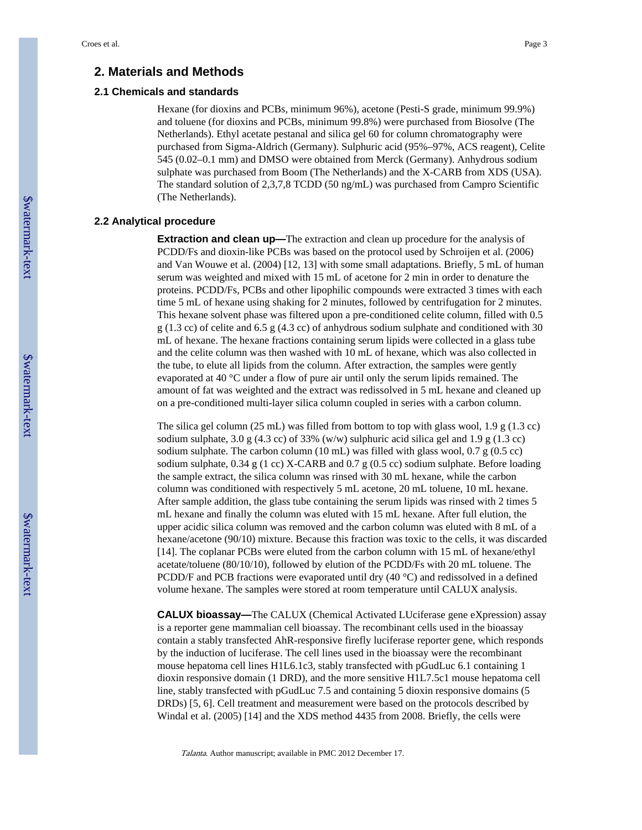# **2. Materials and Methods**

### **2.1 Chemicals and standards**

Hexane (for dioxins and PCBs, minimum 96%), acetone (Pesti-S grade, minimum 99.9%) and toluene (for dioxins and PCBs, minimum 99.8%) were purchased from Biosolve (The Netherlands). Ethyl acetate pestanal and silica gel 60 for column chromatography were purchased from Sigma-Aldrich (Germany). Sulphuric acid (95%–97%, ACS reagent), Celite 545 (0.02–0.1 mm) and DMSO were obtained from Merck (Germany). Anhydrous sodium sulphate was purchased from Boom (The Netherlands) and the X-CARB from XDS (USA). The standard solution of 2,3,7,8 TCDD (50 ng/mL) was purchased from Campro Scientific (The Netherlands).

#### **2.2 Analytical procedure**

**Extraction and clean up—**The extraction and clean up procedure for the analysis of PCDD/Fs and dioxin-like PCBs was based on the protocol used by Schroijen et al. (2006) and Van Wouwe et al. (2004) [12, 13] with some small adaptations. Briefly, 5 mL of human serum was weighted and mixed with 15 mL of acetone for 2 min in order to denature the proteins. PCDD/Fs, PCBs and other lipophilic compounds were extracted 3 times with each time 5 mL of hexane using shaking for 2 minutes, followed by centrifugation for 2 minutes. This hexane solvent phase was filtered upon a pre-conditioned celite column, filled with 0.5 g (1.3 cc) of celite and 6.5 g (4.3 cc) of anhydrous sodium sulphate and conditioned with 30 mL of hexane. The hexane fractions containing serum lipids were collected in a glass tube and the celite column was then washed with 10 mL of hexane, which was also collected in the tube, to elute all lipids from the column. After extraction, the samples were gently evaporated at 40 °C under a flow of pure air until only the serum lipids remained. The amount of fat was weighted and the extract was redissolved in 5 mL hexane and cleaned up on a pre-conditioned multi-layer silica column coupled in series with a carbon column.

The silica gel column (25 mL) was filled from bottom to top with glass wool, 1.9 g (1.3 cc) sodium sulphate, 3.0 g (4.3 cc) of 33% (w/w) sulphuric acid silica gel and 1.9 g (1.3 cc) sodium sulphate. The carbon column (10 mL) was filled with glass wool, 0.7 g (0.5 cc) sodium sulphate, 0.34 g (1 cc) X-CARB and 0.7 g (0.5 cc) sodium sulphate. Before loading the sample extract, the silica column was rinsed with 30 mL hexane, while the carbon column was conditioned with respectively 5 mL acetone, 20 mL toluene, 10 mL hexane. After sample addition, the glass tube containing the serum lipids was rinsed with 2 times 5 mL hexane and finally the column was eluted with 15 mL hexane. After full elution, the upper acidic silica column was removed and the carbon column was eluted with 8 mL of a hexane/acetone (90/10) mixture. Because this fraction was toxic to the cells, it was discarded [14]. The coplanar PCBs were eluted from the carbon column with 15 mL of hexane/ethyl acetate/toluene (80/10/10), followed by elution of the PCDD/Fs with 20 mL toluene. The PCDD/F and PCB fractions were evaporated until dry (40 °C) and redissolved in a defined volume hexane. The samples were stored at room temperature until CALUX analysis.

**CALUX bioassay—The CALUX (Chemical Activated LUciferase gene eXpression) assay** is a reporter gene mammalian cell bioassay. The recombinant cells used in the bioassay contain a stably transfected AhR-responsive firefly luciferase reporter gene, which responds by the induction of luciferase. The cell lines used in the bioassay were the recombinant mouse hepatoma cell lines H1L6.1c3, stably transfected with pGudLuc 6.1 containing 1 dioxin responsive domain (1 DRD), and the more sensitive H1L7.5c1 mouse hepatoma cell line, stably transfected with pGudLuc 7.5 and containing 5 dioxin responsive domains (5 DRDs) [5, 6]. Cell treatment and measurement were based on the protocols described by Windal et al. (2005) [14] and the XDS method 4435 from 2008. Briefly, the cells were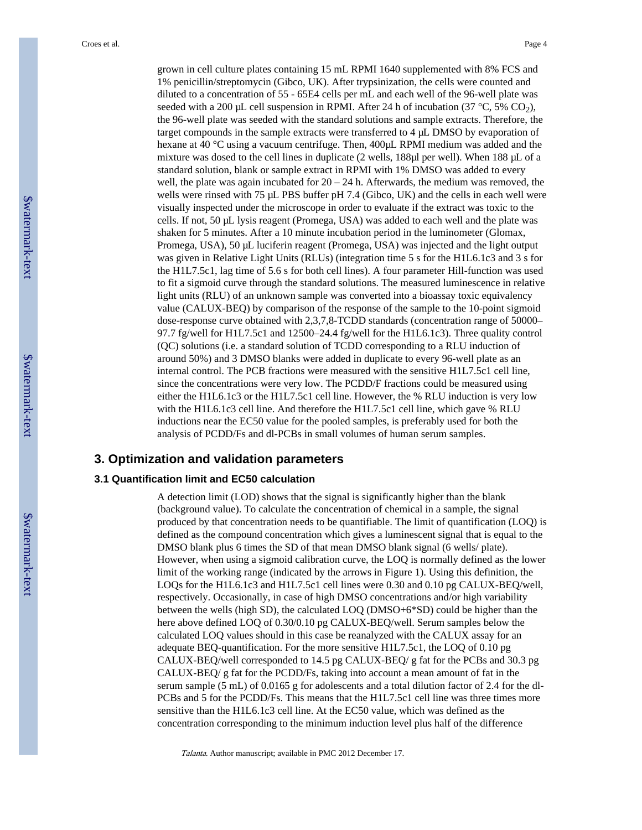grown in cell culture plates containing 15 mL RPMI 1640 supplemented with 8% FCS and 1% penicillin/streptomycin (Gibco, UK). After trypsinization, the cells were counted and diluted to a concentration of 55 - 65E4 cells per mL and each well of the 96-well plate was seeded with a 200 µL cell suspension in RPMI. After 24 h of incubation (37  $^{\circ}$ C, 5% CO<sub>2</sub>), the 96-well plate was seeded with the standard solutions and sample extracts. Therefore, the target compounds in the sample extracts were transferred to 4 µL DMSO by evaporation of hexane at 40 °C using a vacuum centrifuge. Then, 400µL RPMI medium was added and the mixture was dosed to the cell lines in duplicate (2 wells, 188µl per well). When 188 µL of a standard solution, blank or sample extract in RPMI with 1% DMSO was added to every well, the plate was again incubated for  $20 - 24$  h. Afterwards, the medium was removed, the wells were rinsed with 75 µL PBS buffer pH 7.4 (Gibco, UK) and the cells in each well were visually inspected under the microscope in order to evaluate if the extract was toxic to the cells. If not, 50 µL lysis reagent (Promega, USA) was added to each well and the plate was shaken for 5 minutes. After a 10 minute incubation period in the luminometer (Glomax, Promega, USA), 50 µL luciferin reagent (Promega, USA) was injected and the light output was given in Relative Light Units (RLUs) (integration time 5 s for the H1L6.1c3 and 3 s for the H1L7.5c1, lag time of 5.6 s for both cell lines). A four parameter Hill-function was used to fit a sigmoid curve through the standard solutions. The measured luminescence in relative light units (RLU) of an unknown sample was converted into a bioassay toxic equivalency value (CALUX-BEQ) by comparison of the response of the sample to the 10-point sigmoid dose-response curve obtained with 2,3,7,8-TCDD standards (concentration range of 50000– 97.7 fg/well for H1L7.5c1 and 12500–24.4 fg/well for the H1L6.1c3). Three quality control (QC) solutions (i.e. a standard solution of TCDD corresponding to a RLU induction of around 50%) and 3 DMSO blanks were added in duplicate to every 96-well plate as an internal control. The PCB fractions were measured with the sensitive H1L7.5c1 cell line, since the concentrations were very low. The PCDD/F fractions could be measured using either the H1L6.1c3 or the H1L7.5c1 cell line. However, the % RLU induction is very low with the H1L6.1c3 cell line. And therefore the H1L7.5c1 cell line, which gave % RLU inductions near the EC50 value for the pooled samples, is preferably used for both the analysis of PCDD/Fs and dl-PCBs in small volumes of human serum samples.

### **3. Optimization and validation parameters**

#### **3.1 Quantification limit and EC50 calculation**

A detection limit (LOD) shows that the signal is significantly higher than the blank (background value). To calculate the concentration of chemical in a sample, the signal produced by that concentration needs to be quantifiable. The limit of quantification (LOQ) is defined as the compound concentration which gives a luminescent signal that is equal to the DMSO blank plus 6 times the SD of that mean DMSO blank signal (6 wells/ plate). However, when using a sigmoid calibration curve, the LOQ is normally defined as the lower limit of the working range (indicated by the arrows in Figure 1). Using this definition, the LOQs for the H1L6.1c3 and H1L7.5c1 cell lines were 0.30 and 0.10 pg CALUX-BEQ/well, respectively. Occasionally, in case of high DMSO concentrations and/or high variability between the wells (high SD), the calculated LOQ (DMSO+6\*SD) could be higher than the here above defined LOQ of 0.30/0.10 pg CALUX-BEQ/well. Serum samples below the calculated LOQ values should in this case be reanalyzed with the CALUX assay for an adequate BEQ-quantification. For the more sensitive H1L7.5c1, the LOQ of 0.10 pg CALUX-BEQ/well corresponded to 14.5 pg CALUX-BEQ/ g fat for the PCBs and 30.3 pg CALUX-BEQ/ g fat for the PCDD/Fs, taking into account a mean amount of fat in the serum sample (5 mL) of 0.0165 g for adolescents and a total dilution factor of 2.4 for the dl-PCBs and 5 for the PCDD/Fs. This means that the H1L7.5c1 cell line was three times more sensitive than the H1L6.1c3 cell line. At the EC50 value, which was defined as the concentration corresponding to the minimum induction level plus half of the difference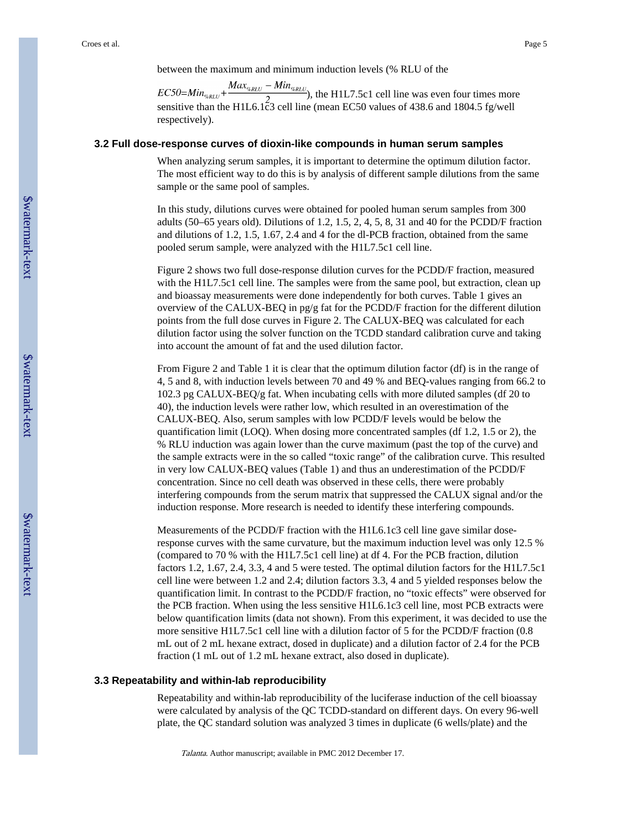between the maximum and minimum induction levels (% RLU of the

), the H1L7.5c1 cell line was even four times more sensitive than the H1L6.1 $\bar{c}3$  cell line (mean EC50 values of 438.6 and 1804.5 fg/well respectively).

#### **3.2 Full dose-response curves of dioxin-like compounds in human serum samples**

When analyzing serum samples, it is important to determine the optimum dilution factor. The most efficient way to do this is by analysis of different sample dilutions from the same sample or the same pool of samples.

In this study, dilutions curves were obtained for pooled human serum samples from 300 adults (50–65 years old). Dilutions of 1.2, 1.5, 2, 4, 5, 8, 31 and 40 for the PCDD/F fraction and dilutions of 1.2, 1.5, 1.67, 2.4 and 4 for the dl-PCB fraction, obtained from the same pooled serum sample, were analyzed with the H1L7.5c1 cell line.

Figure 2 shows two full dose-response dilution curves for the PCDD/F fraction, measured with the H1L7.5c1 cell line. The samples were from the same pool, but extraction, clean up and bioassay measurements were done independently for both curves. Table 1 gives an overview of the CALUX-BEQ in pg/g fat for the PCDD/F fraction for the different dilution points from the full dose curves in Figure 2. The CALUX-BEQ was calculated for each dilution factor using the solver function on the TCDD standard calibration curve and taking into account the amount of fat and the used dilution factor.

From Figure 2 and Table 1 it is clear that the optimum dilution factor (df) is in the range of 4, 5 and 8, with induction levels between 70 and 49 % and BEQ-values ranging from 66.2 to 102.3 pg CALUX-BEQ/g fat. When incubating cells with more diluted samples (df 20 to 40), the induction levels were rather low, which resulted in an overestimation of the CALUX-BEQ. Also, serum samples with low PCDD/F levels would be below the quantification limit (LOQ). When dosing more concentrated samples (df 1.2, 1.5 or 2), the % RLU induction was again lower than the curve maximum (past the top of the curve) and the sample extracts were in the so called "toxic range" of the calibration curve. This resulted in very low CALUX-BEQ values (Table 1) and thus an underestimation of the PCDD/F concentration. Since no cell death was observed in these cells, there were probably interfering compounds from the serum matrix that suppressed the CALUX signal and/or the induction response. More research is needed to identify these interfering compounds.

Measurements of the PCDD/F fraction with the H1L6.1c3 cell line gave similar doseresponse curves with the same curvature, but the maximum induction level was only 12.5 % (compared to 70 % with the H1L7.5c1 cell line) at df 4. For the PCB fraction, dilution factors 1.2, 1.67, 2.4, 3.3, 4 and 5 were tested. The optimal dilution factors for the H1L7.5c1 cell line were between 1.2 and 2.4; dilution factors 3.3, 4 and 5 yielded responses below the quantification limit. In contrast to the PCDD/F fraction, no "toxic effects" were observed for the PCB fraction. When using the less sensitive H1L6.1c3 cell line, most PCB extracts were below quantification limits (data not shown). From this experiment, it was decided to use the more sensitive H1L7.5c1 cell line with a dilution factor of 5 for the PCDD/F fraction (0.8 mL out of 2 mL hexane extract, dosed in duplicate) and a dilution factor of 2.4 for the PCB fraction (1 mL out of 1.2 mL hexane extract, also dosed in duplicate).

#### **3.3 Repeatability and within-lab reproducibility**

Repeatability and within-lab reproducibility of the luciferase induction of the cell bioassay were calculated by analysis of the QC TCDD-standard on different days. On every 96-well plate, the QC standard solution was analyzed 3 times in duplicate (6 wells/plate) and the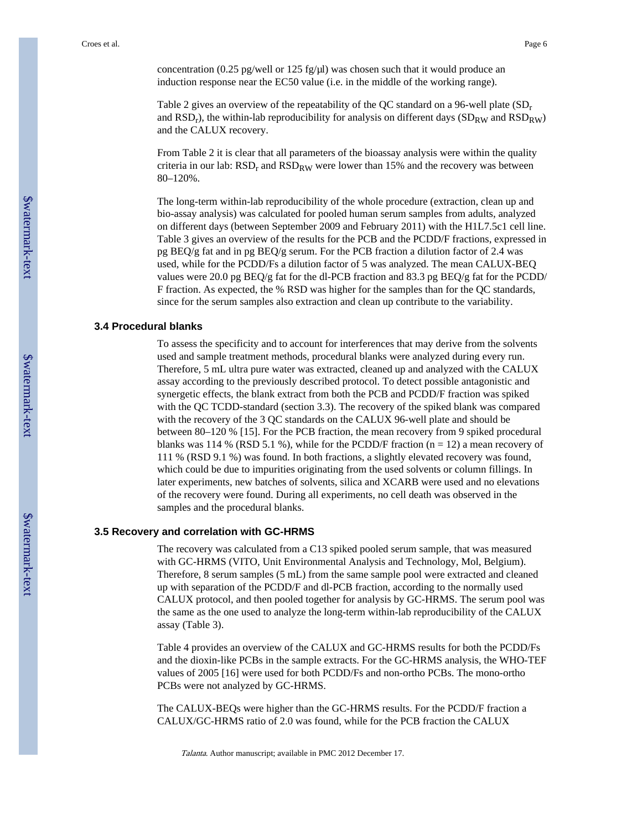concentration (0.25 pg/well or 125 fg/ $\mu$ l) was chosen such that it would produce an induction response near the EC50 value (i.e. in the middle of the working range).

Table 2 gives an overview of the repeatability of the QC standard on a 96-well plate  $(SD_r)$ and  $\text{RSD}_r$ ), the within-lab reproducibility for analysis on different days (SD<sub>RW</sub> and  $\text{RSD}_\text{RW}$ ) and the CALUX recovery.

From Table 2 it is clear that all parameters of the bioassay analysis were within the quality criteria in our lab:  $\text{RSD}_\text{r}$  and  $\text{RSD}_\text{RW}$  were lower than 15% and the recovery was between 80–120%.

The long-term within-lab reproducibility of the whole procedure (extraction, clean up and bio-assay analysis) was calculated for pooled human serum samples from adults, analyzed on different days (between September 2009 and February 2011) with the H1L7.5c1 cell line. Table 3 gives an overview of the results for the PCB and the PCDD/F fractions, expressed in pg BEQ/g fat and in pg BEQ/g serum. For the PCB fraction a dilution factor of 2.4 was used, while for the PCDD/Fs a dilution factor of 5 was analyzed. The mean CALUX-BEQ values were 20.0 pg BEQ/g fat for the dl-PCB fraction and 83.3 pg BEQ/g fat for the PCDD/ F fraction. As expected, the % RSD was higher for the samples than for the QC standards, since for the serum samples also extraction and clean up contribute to the variability.

#### **3.4 Procedural blanks**

To assess the specificity and to account for interferences that may derive from the solvents used and sample treatment methods, procedural blanks were analyzed during every run. Therefore, 5 mL ultra pure water was extracted, cleaned up and analyzed with the CALUX assay according to the previously described protocol. To detect possible antagonistic and synergetic effects, the blank extract from both the PCB and PCDD/F fraction was spiked with the QC TCDD-standard (section 3.3). The recovery of the spiked blank was compared with the recovery of the 3 QC standards on the CALUX 96-well plate and should be between 80–120 % [15]. For the PCB fraction, the mean recovery from 9 spiked procedural blanks was 114 % (RSD 5.1 %), while for the PCDD/F fraction  $(n = 12)$  a mean recovery of 111 % (RSD 9.1 %) was found. In both fractions, a slightly elevated recovery was found, which could be due to impurities originating from the used solvents or column fillings. In later experiments, new batches of solvents, silica and XCARB were used and no elevations of the recovery were found. During all experiments, no cell death was observed in the samples and the procedural blanks.

#### **3.5 Recovery and correlation with GC-HRMS**

The recovery was calculated from a C13 spiked pooled serum sample, that was measured with GC-HRMS (VITO, Unit Environmental Analysis and Technology, Mol, Belgium). Therefore, 8 serum samples (5 mL) from the same sample pool were extracted and cleaned up with separation of the PCDD/F and dl-PCB fraction, according to the normally used CALUX protocol, and then pooled together for analysis by GC-HRMS. The serum pool was the same as the one used to analyze the long-term within-lab reproducibility of the CALUX assay (Table 3).

Table 4 provides an overview of the CALUX and GC-HRMS results for both the PCDD/Fs and the dioxin-like PCBs in the sample extracts. For the GC-HRMS analysis, the WHO-TEF values of 2005 [16] were used for both PCDD/Fs and non-ortho PCBs. The mono-ortho PCBs were not analyzed by GC-HRMS.

The CALUX-BEQs were higher than the GC-HRMS results. For the PCDD/F fraction a CALUX/GC-HRMS ratio of 2.0 was found, while for the PCB fraction the CALUX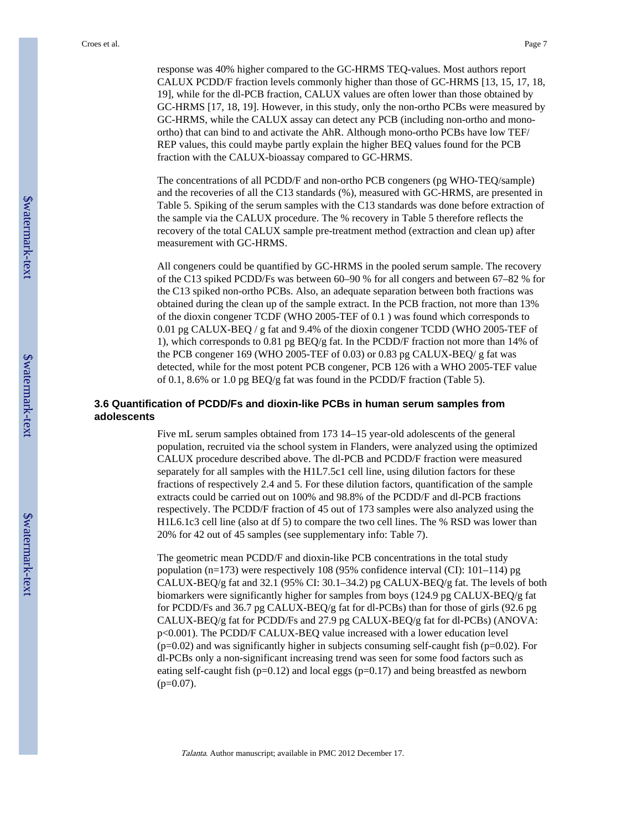response was 40% higher compared to the GC-HRMS TEQ-values. Most authors report CALUX PCDD/F fraction levels commonly higher than those of GC-HRMS [13, 15, 17, 18, 19], while for the dl-PCB fraction, CALUX values are often lower than those obtained by GC-HRMS [17, 18, 19]. However, in this study, only the non-ortho PCBs were measured by GC-HRMS, while the CALUX assay can detect any PCB (including non-ortho and monoortho) that can bind to and activate the AhR. Although mono-ortho PCBs have low TEF/ REP values, this could maybe partly explain the higher BEQ values found for the PCB fraction with the CALUX-bioassay compared to GC-HRMS.

The concentrations of all PCDD/F and non-ortho PCB congeners (pg WHO-TEQ/sample) and the recoveries of all the C13 standards (%), measured with GC-HRMS, are presented in Table 5. Spiking of the serum samples with the C13 standards was done before extraction of the sample via the CALUX procedure. The % recovery in Table 5 therefore reflects the recovery of the total CALUX sample pre-treatment method (extraction and clean up) after measurement with GC-HRMS.

All congeners could be quantified by GC-HRMS in the pooled serum sample. The recovery of the C13 spiked PCDD/Fs was between 60–90 % for all congers and between 67–82 % for the C13 spiked non-ortho PCBs. Also, an adequate separation between both fractions was obtained during the clean up of the sample extract. In the PCB fraction, not more than 13% of the dioxin congener TCDF (WHO 2005-TEF of 0.1 ) was found which corresponds to 0.01 pg CALUX-BEQ / g fat and 9.4% of the dioxin congener TCDD (WHO 2005-TEF of 1), which corresponds to 0.81 pg BEQ/g fat. In the PCDD/F fraction not more than 14% of the PCB congener 169 (WHO 2005-TEF of 0.03) or 0.83 pg CALUX-BEQ/ g fat was detected, while for the most potent PCB congener, PCB 126 with a WHO 2005-TEF value of 0.1, 8.6% or 1.0 pg BEQ/g fat was found in the PCDD/F fraction (Table 5).

# **3.6 Quantification of PCDD/Fs and dioxin-like PCBs in human serum samples from adolescents**

Five mL serum samples obtained from 173 14–15 year-old adolescents of the general population, recruited via the school system in Flanders, were analyzed using the optimized CALUX procedure described above. The dl-PCB and PCDD/F fraction were measured separately for all samples with the H1L7.5c1 cell line, using dilution factors for these fractions of respectively 2.4 and 5. For these dilution factors, quantification of the sample extracts could be carried out on 100% and 98.8% of the PCDD/F and dl-PCB fractions respectively. The PCDD/F fraction of 45 out of 173 samples were also analyzed using the H1L6.1c3 cell line (also at df 5) to compare the two cell lines. The % RSD was lower than 20% for 42 out of 45 samples (see supplementary info: Table 7).

The geometric mean PCDD/F and dioxin-like PCB concentrations in the total study population (n=173) were respectively 108 (95% confidence interval (CI): 101–114) pg CALUX-BEQ/g fat and 32.1 (95% CI: 30.1–34.2) pg CALUX-BEQ/g fat. The levels of both biomarkers were significantly higher for samples from boys (124.9 pg CALUX-BEQ/g fat for PCDD/Fs and 36.7 pg CALUX-BEQ/g fat for dl-PCBs) than for those of girls (92.6 pg CALUX-BEQ/g fat for PCDD/Fs and 27.9 pg CALUX-BEQ/g fat for dl-PCBs) (ANOVA: p<0.001). The PCDD/F CALUX-BEQ value increased with a lower education level (p=0.02) and was significantly higher in subjects consuming self-caught fish (p=0.02). For dl-PCBs only a non-significant increasing trend was seen for some food factors such as eating self-caught fish ( $p=0.12$ ) and local eggs ( $p=0.17$ ) and being breastfed as newborn  $(p=0.07)$ .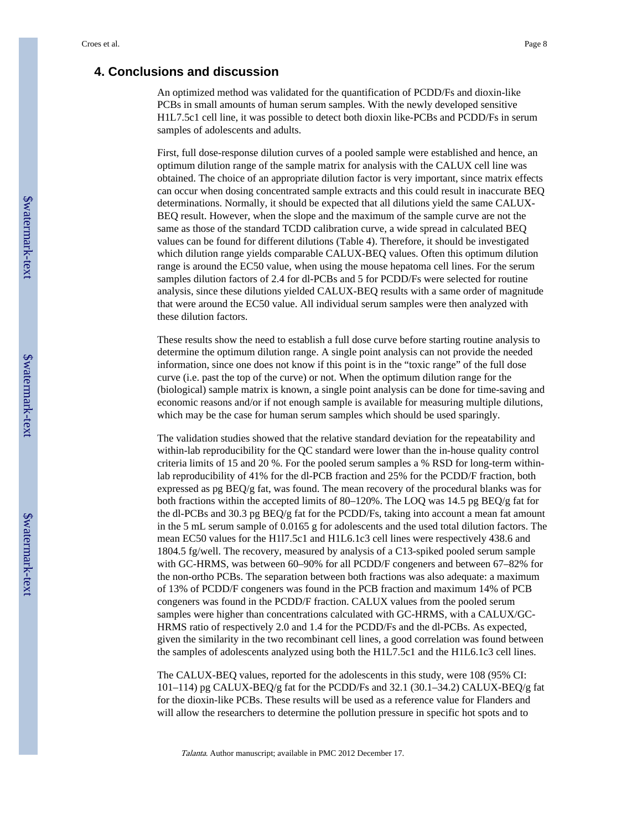# **4. Conclusions and discussion**

An optimized method was validated for the quantification of PCDD/Fs and dioxin-like PCBs in small amounts of human serum samples. With the newly developed sensitive H1L7.5c1 cell line, it was possible to detect both dioxin like-PCBs and PCDD/Fs in serum samples of adolescents and adults.

First, full dose-response dilution curves of a pooled sample were established and hence, an optimum dilution range of the sample matrix for analysis with the CALUX cell line was obtained. The choice of an appropriate dilution factor is very important, since matrix effects can occur when dosing concentrated sample extracts and this could result in inaccurate BEQ determinations. Normally, it should be expected that all dilutions yield the same CALUX-BEQ result. However, when the slope and the maximum of the sample curve are not the same as those of the standard TCDD calibration curve, a wide spread in calculated BEQ values can be found for different dilutions (Table 4). Therefore, it should be investigated which dilution range yields comparable CALUX-BEQ values. Often this optimum dilution range is around the EC50 value, when using the mouse hepatoma cell lines. For the serum samples dilution factors of 2.4 for dl-PCBs and 5 for PCDD/Fs were selected for routine analysis, since these dilutions yielded CALUX-BEQ results with a same order of magnitude that were around the EC50 value. All individual serum samples were then analyzed with these dilution factors.

These results show the need to establish a full dose curve before starting routine analysis to determine the optimum dilution range. A single point analysis can not provide the needed information, since one does not know if this point is in the "toxic range" of the full dose curve (i.e. past the top of the curve) or not. When the optimum dilution range for the (biological) sample matrix is known, a single point analysis can be done for time-saving and economic reasons and/or if not enough sample is available for measuring multiple dilutions, which may be the case for human serum samples which should be used sparingly.

The validation studies showed that the relative standard deviation for the repeatability and within-lab reproducibility for the QC standard were lower than the in-house quality control criteria limits of 15 and 20 %. For the pooled serum samples a % RSD for long-term withinlab reproducibility of 41% for the dl-PCB fraction and 25% for the PCDD/F fraction, both expressed as pg BEQ/g fat, was found. The mean recovery of the procedural blanks was for both fractions within the accepted limits of 80–120%. The LOQ was 14.5 pg BEQ/g fat for the dl-PCBs and 30.3 pg BEQ/g fat for the PCDD/Fs, taking into account a mean fat amount in the 5 mL serum sample of 0.0165 g for adolescents and the used total dilution factors. The mean EC50 values for the H1l7.5c1 and H1L6.1c3 cell lines were respectively 438.6 and 1804.5 fg/well. The recovery, measured by analysis of a C13-spiked pooled serum sample with GC-HRMS, was between 60–90% for all PCDD/F congeners and between 67–82% for the non-ortho PCBs. The separation between both fractions was also adequate: a maximum of 13% of PCDD/F congeners was found in the PCB fraction and maximum 14% of PCB congeners was found in the PCDD/F fraction. CALUX values from the pooled serum samples were higher than concentrations calculated with GC-HRMS, with a CALUX/GC-HRMS ratio of respectively 2.0 and 1.4 for the PCDD/Fs and the dl-PCBs. As expected, given the similarity in the two recombinant cell lines, a good correlation was found between the samples of adolescents analyzed using both the H1L7.5c1 and the H1L6.1c3 cell lines.

The CALUX-BEQ values, reported for the adolescents in this study, were 108 (95% CI: 101–114) pg CALUX-BEQ/g fat for the PCDD/Fs and 32.1 (30.1–34.2) CALUX-BEQ/g fat for the dioxin-like PCBs. These results will be used as a reference value for Flanders and will allow the researchers to determine the pollution pressure in specific hot spots and to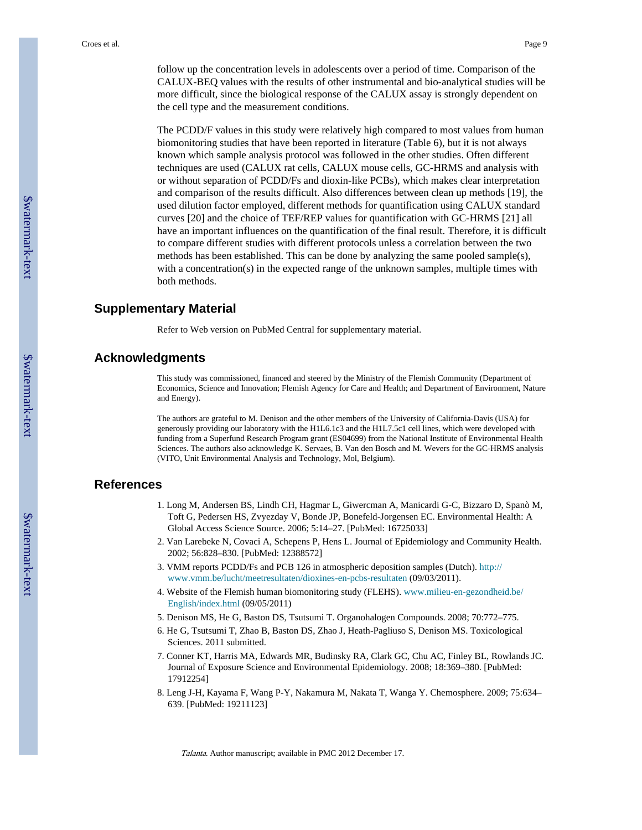follow up the concentration levels in adolescents over a period of time. Comparison of the CALUX-BEQ values with the results of other instrumental and bio-analytical studies will be more difficult, since the biological response of the CALUX assay is strongly dependent on the cell type and the measurement conditions.

The PCDD/F values in this study were relatively high compared to most values from human biomonitoring studies that have been reported in literature (Table 6), but it is not always known which sample analysis protocol was followed in the other studies. Often different techniques are used (CALUX rat cells, CALUX mouse cells, GC-HRMS and analysis with or without separation of PCDD/Fs and dioxin-like PCBs), which makes clear interpretation and comparison of the results difficult. Also differences between clean up methods [19], the used dilution factor employed, different methods for quantification using CALUX standard curves [20] and the choice of TEF/REP values for quantification with GC-HRMS [21] all have an important influences on the quantification of the final result. Therefore, it is difficult to compare different studies with different protocols unless a correlation between the two methods has been established. This can be done by analyzing the same pooled sample(s), with a concentration(s) in the expected range of the unknown samples, multiple times with both methods.

# **Supplementary Material**

Refer to Web version on PubMed Central for supplementary material.

# **Acknowledgments**

This study was commissioned, financed and steered by the Ministry of the Flemish Community (Department of Economics, Science and Innovation; Flemish Agency for Care and Health; and Department of Environment, Nature and Energy).

The authors are grateful to M. Denison and the other members of the University of California-Davis (USA) for generously providing our laboratory with the H1L6.1c3 and the H1L7.5c1 cell lines, which were developed with funding from a Superfund Research Program grant (ES04699) from the National Institute of Environmental Health Sciences. The authors also acknowledge K. Servaes, B. Van den Bosch and M. Wevers for the GC-HRMS analysis (VITO, Unit Environmental Analysis and Technology, Mol, Belgium).

# **References**

- 1. Long M, Andersen BS, Lindh CH, Hagmar L, Giwercman A, Manicardi G-C, Bizzaro D, Spanò M, Toft G, Pedersen HS, Zvyezday V, Bonde JP, Bonefeld-Jorgensen EC. Environmental Health: A Global Access Science Source. 2006; 5:14–27. [PubMed: 16725033]
- 2. Van Larebeke N, Covaci A, Schepens P, Hens L. Journal of Epidemiology and Community Health. 2002; 56:828–830. [PubMed: 12388572]
- 3. VMM reports PCDD/Fs and PCB 126 in atmospheric deposition samples (Dutch). [http://](http://www.vmm.be/lucht/meetresultaten/dioxines-en-pcbs-resultaten) [www.vmm.be/lucht/meetresultaten/dioxines-en-pcbs-resultaten](http://www.vmm.be/lucht/meetresultaten/dioxines-en-pcbs-resultaten) (09/03/2011).
- 4. Website of the Flemish human biomonitoring study (FLEHS). [www.milieu-en-gezondheid.be/](http://www.milieu-en-gezondheid.be/English/index.html) [English/index.html](http://www.milieu-en-gezondheid.be/English/index.html) (09/05/2011)
- 5. Denison MS, He G, Baston DS, Tsutsumi T. Organohalogen Compounds. 2008; 70:772–775.
- 6. He G, Tsutsumi T, Zhao B, Baston DS, Zhao J, Heath-Pagliuso S, Denison MS. Toxicological Sciences. 2011 submitted.
- 7. Conner KT, Harris MA, Edwards MR, Budinsky RA, Clark GC, Chu AC, Finley BL, Rowlands JC. Journal of Exposure Science and Environmental Epidemiology. 2008; 18:369–380. [PubMed: 17912254]
- 8. Leng J-H, Kayama F, Wang P-Y, Nakamura M, Nakata T, Wanga Y. Chemosphere. 2009; 75:634– 639. [PubMed: 19211123]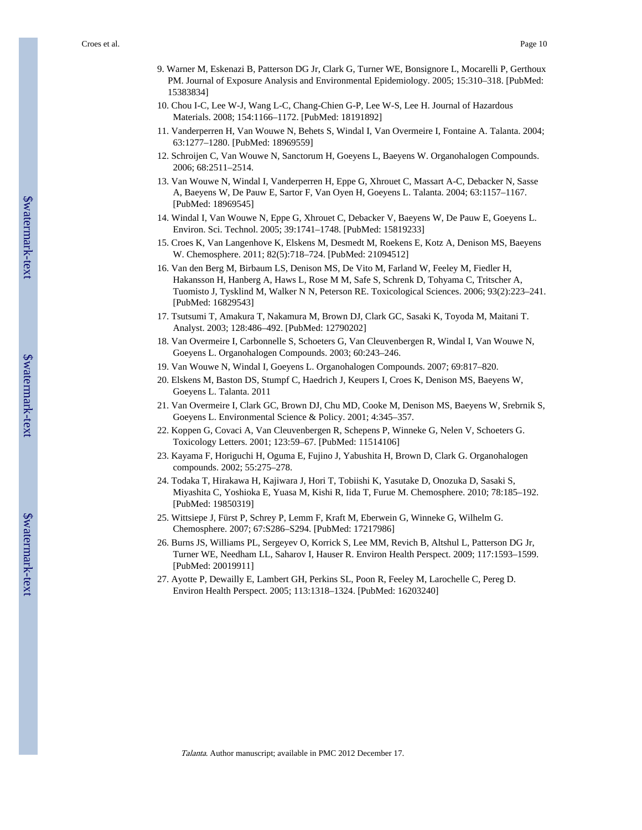- 9. Warner M, Eskenazi B, Patterson DG Jr, Clark G, Turner WE, Bonsignore L, Mocarelli P, Gerthoux PM. Journal of Exposure Analysis and Environmental Epidemiology. 2005; 15:310–318. [PubMed: 15383834]
- 10. Chou I-C, Lee W-J, Wang L-C, Chang-Chien G-P, Lee W-S, Lee H. Journal of Hazardous Materials. 2008; 154:1166–1172. [PubMed: 18191892]
- 11. Vanderperren H, Van Wouwe N, Behets S, Windal I, Van Overmeire I, Fontaine A. Talanta. 2004; 63:1277–1280. [PubMed: 18969559]
- 12. Schroijen C, Van Wouwe N, Sanctorum H, Goeyens L, Baeyens W. Organohalogen Compounds. 2006; 68:2511–2514.
- 13. Van Wouwe N, Windal I, Vanderperren H, Eppe G, Xhrouet C, Massart A-C, Debacker N, Sasse A, Baeyens W, De Pauw E, Sartor F, Van Oyen H, Goeyens L. Talanta. 2004; 63:1157–1167. [PubMed: 18969545]
- 14. Windal I, Van Wouwe N, Eppe G, Xhrouet C, Debacker V, Baeyens W, De Pauw E, Goeyens L. Environ. Sci. Technol. 2005; 39:1741–1748. [PubMed: 15819233]
- 15. Croes K, Van Langenhove K, Elskens M, Desmedt M, Roekens E, Kotz A, Denison MS, Baeyens W. Chemosphere. 2011; 82(5):718–724. [PubMed: 21094512]
- 16. Van den Berg M, Birbaum LS, Denison MS, De Vito M, Farland W, Feeley M, Fiedler H, Hakansson H, Hanberg A, Haws L, Rose M M, Safe S, Schrenk D, Tohyama C, Tritscher A, Tuomisto J, Tysklind M, Walker N N, Peterson RE. Toxicological Sciences. 2006; 93(2):223–241. [PubMed: 16829543]
- 17. Tsutsumi T, Amakura T, Nakamura M, Brown DJ, Clark GC, Sasaki K, Toyoda M, Maitani T. Analyst. 2003; 128:486–492. [PubMed: 12790202]
- 18. Van Overmeire I, Carbonnelle S, Schoeters G, Van Cleuvenbergen R, Windal I, Van Wouwe N, Goeyens L. Organohalogen Compounds. 2003; 60:243–246.
- 19. Van Wouwe N, Windal I, Goeyens L. Organohalogen Compounds. 2007; 69:817–820.
- 20. Elskens M, Baston DS, Stumpf C, Haedrich J, Keupers I, Croes K, Denison MS, Baeyens W, Goeyens L. Talanta. 2011
- 21. Van Overmeire I, Clark GC, Brown DJ, Chu MD, Cooke M, Denison MS, Baeyens W, Srebrnik S, Goeyens L. Environmental Science & Policy. 2001; 4:345–357.
- 22. Koppen G, Covaci A, Van Cleuvenbergen R, Schepens P, Winneke G, Nelen V, Schoeters G. Toxicology Letters. 2001; 123:59–67. [PubMed: 11514106]
- 23. Kayama F, Horiguchi H, Oguma E, Fujino J, Yabushita H, Brown D, Clark G. Organohalogen compounds. 2002; 55:275–278.
- 24. Todaka T, Hirakawa H, Kajiwara J, Hori T, Tobiishi K, Yasutake D, Onozuka D, Sasaki S, Miyashita C, Yoshioka E, Yuasa M, Kishi R, Iida T, Furue M. Chemosphere. 2010; 78:185–192. [PubMed: 19850319]
- 25. Wittsiepe J, Fürst P, Schrey P, Lemm F, Kraft M, Eberwein G, Winneke G, Wilhelm G. Chemosphere. 2007; 67:S286–S294. [PubMed: 17217986]
- 26. Burns JS, Williams PL, Sergeyev O, Korrick S, Lee MM, Revich B, Altshul L, Patterson DG Jr, Turner WE, Needham LL, Saharov I, Hauser R. Environ Health Perspect. 2009; 117:1593–1599. [PubMed: 20019911]
- 27. Ayotte P, Dewailly E, Lambert GH, Perkins SL, Poon R, Feeley M, Larochelle C, Pereg D. Environ Health Perspect. 2005; 113:1318–1324. [PubMed: 16203240]

\$watermark-text

Swatermark-text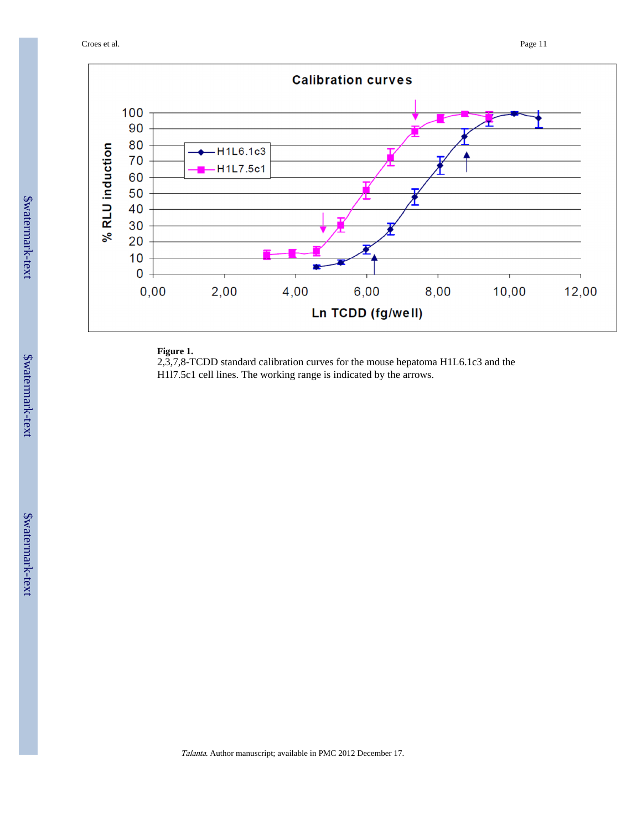

# **Figure 1.**

2,3,7,8-TCDD standard calibration curves for the mouse hepatoma H1L6.1c3 and the H1l7.5c1 cell lines. The working range is indicated by the arrows.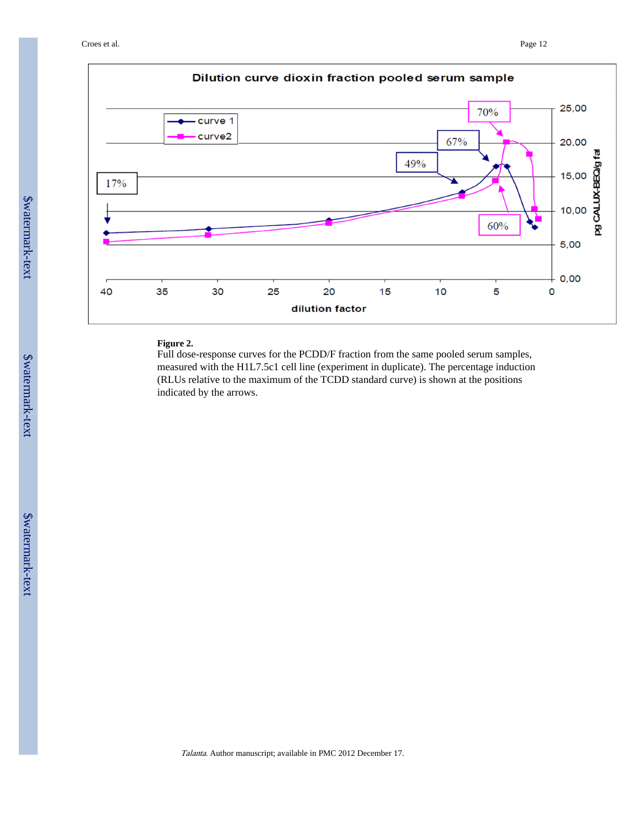Croes et al. Page 12



# **Figure 2.**

Full dose-response curves for the PCDD/F fraction from the same pooled serum samples, measured with the H1L7.5c1 cell line (experiment in duplicate). The percentage induction (RLUs relative to the maximum of the TCDD standard curve) is shown at the positions indicated by the arrows.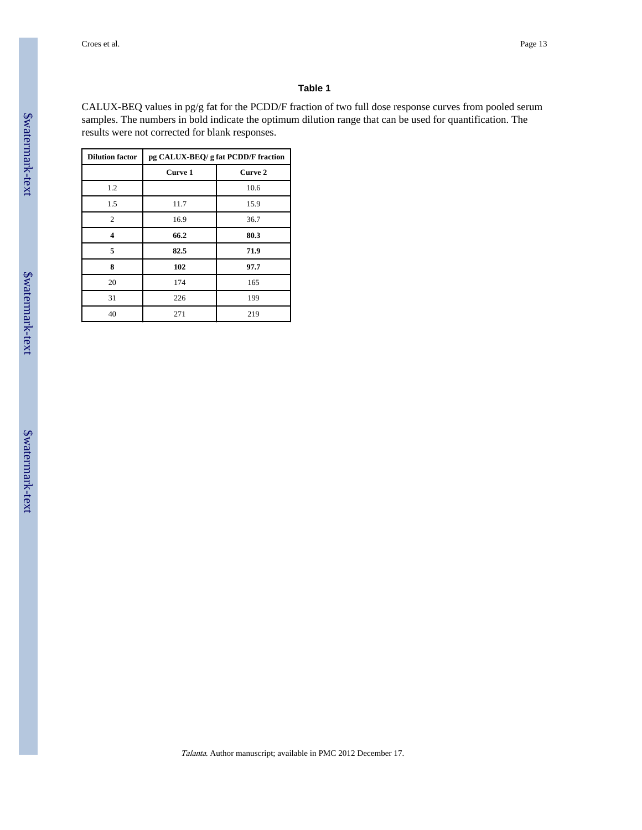CALUX-BEQ values in pg/g fat for the PCDD/F fraction of two full dose response curves from pooled serum samples. The numbers in bold indicate the optimum dilution range that can be used for quantification. The results were not corrected for blank responses.

| <b>Dilution factor</b> | pg CALUX-BEQ/ g fat PCDD/F fraction |         |  |  |  |  |  |  |
|------------------------|-------------------------------------|---------|--|--|--|--|--|--|
|                        | Curve 1                             | Curve 2 |  |  |  |  |  |  |
| 1.2                    |                                     | 10.6    |  |  |  |  |  |  |
| 1.5                    | 11.7                                | 15.9    |  |  |  |  |  |  |
| $\overline{2}$         | 16.9                                | 36.7    |  |  |  |  |  |  |
| 4                      | 66.2                                | 80.3    |  |  |  |  |  |  |
| 5                      | 82.5                                | 71.9    |  |  |  |  |  |  |
| 8                      | 102                                 | 97.7    |  |  |  |  |  |  |
| 20                     | 174                                 | 165     |  |  |  |  |  |  |
| 31                     | 226                                 | 199     |  |  |  |  |  |  |
| 40                     | 271                                 | 219     |  |  |  |  |  |  |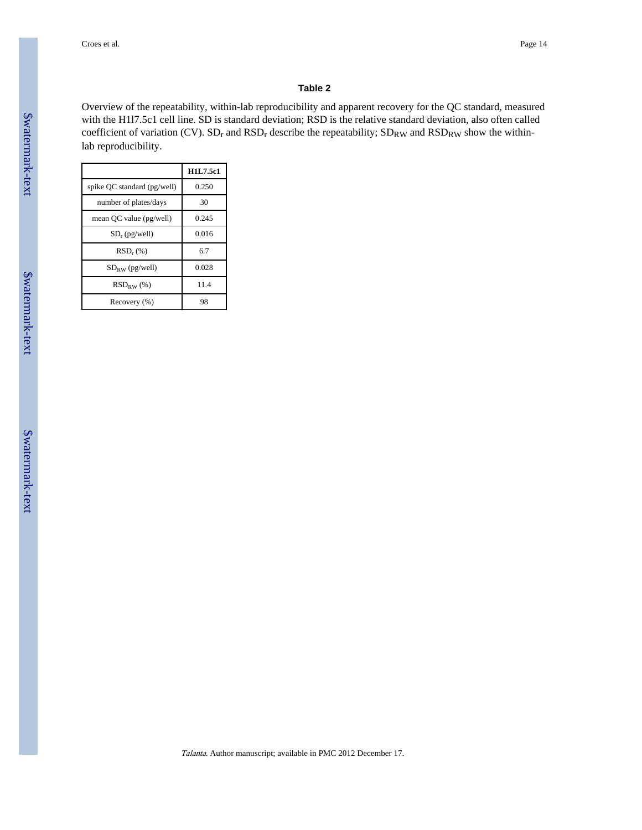Overview of the repeatability, within-lab reproducibility and apparent recovery for the QC standard, measured with the H1l7.5c1 cell line. SD is standard deviation; RSD is the relative standard deviation, also often called coefficient of variation (CV).  $SD_r$  and  $RSD_r$  describe the repeatability;  $SD_{RW}$  and  $RSD_{RW}$  show the withinlab reproducibility.

|                             | H1L7.5c1 |
|-----------------------------|----------|
| spike QC standard (pg/well) | 0.250    |
| number of plates/days       | 30       |
| mean QC value (pg/well)     | 0.245    |
| $SD_r$ (pg/well)            | 0.016    |
| $RSD_r$ $(\%)$              | 6.7      |
| $SD_{RW}$ (pg/well)         | 0.028    |
| $RSD_{RW}$ (%)              | 11.4     |
| Recovery (%)                | 98       |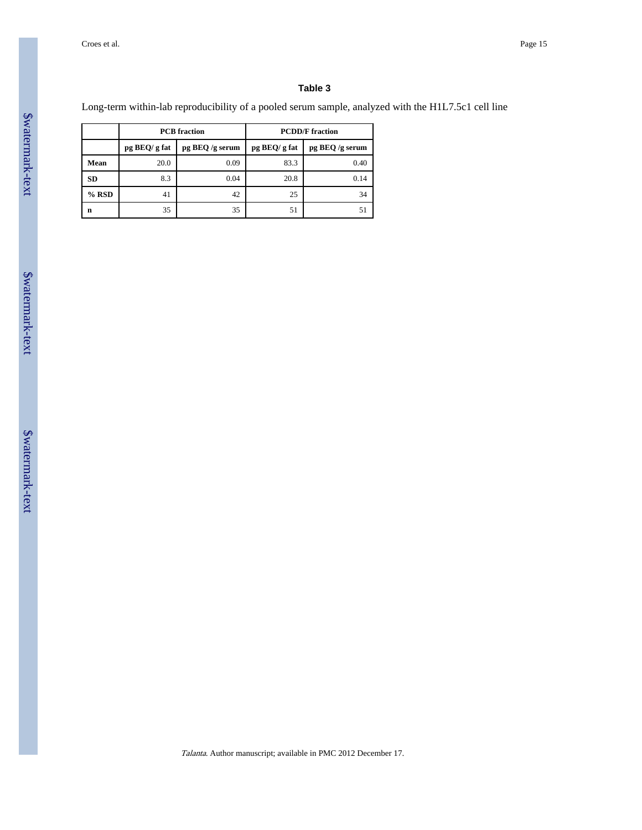Long-term within-lab reproducibility of a pooled serum sample, analyzed with the H1L7.5c1 cell line

|           |               | <b>PCB</b> fraction | <b>PCDD/F</b> fraction |                 |  |  |  |  |
|-----------|---------------|---------------------|------------------------|-----------------|--|--|--|--|
|           | pg BEQ/ g fat | pg BEQ /g serum     | pg BEQ/ g fat          | pg BEQ /g serum |  |  |  |  |
| Mean      | 20.0          | 0.09                | 83.3                   | 0.40            |  |  |  |  |
| <b>SD</b> | 8.3           | 0.04                | 20.8                   | 0.14<br>34      |  |  |  |  |
| $%$ RSD   | 41            | 42                  | 25                     |                 |  |  |  |  |
| n         | 35            | 35                  | 51                     | 51              |  |  |  |  |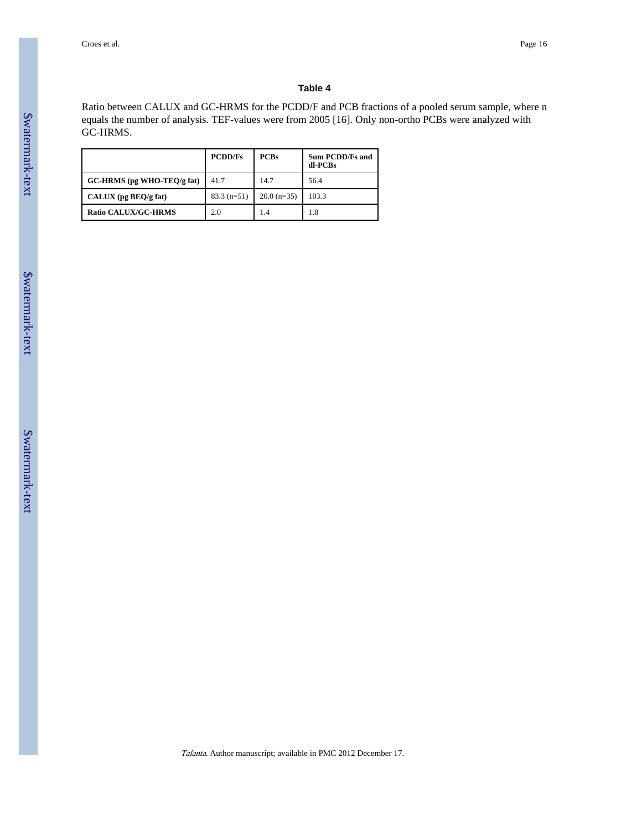Ratio between CALUX and GC-HRMS for the PCDD/F and PCB fractions of a pooled serum sample, where n equals the number of analysis. TEF-values were from 2005 [16]. Only non-ortho PCBs were analyzed with GC-HRMS.

|                               | <b>PCDD/Fs</b> | <b>PCBs</b>   | <b>Sum PCDD/Fs and</b><br>dl-PCBs |
|-------------------------------|----------------|---------------|-----------------------------------|
| $GC$ -HRMS (pg WHO-TEO/g fat) | 417            | 14.7          | 56.4                              |
| $CALUX$ (pg $BEQ/g$ fat)      | $83.3(n=51)$   | $20.0$ (n=35) | 103.3                             |
| <b>Ratio CALUX/GC-HRMS</b>    | 2.0            | 1.4           | 1.8                               |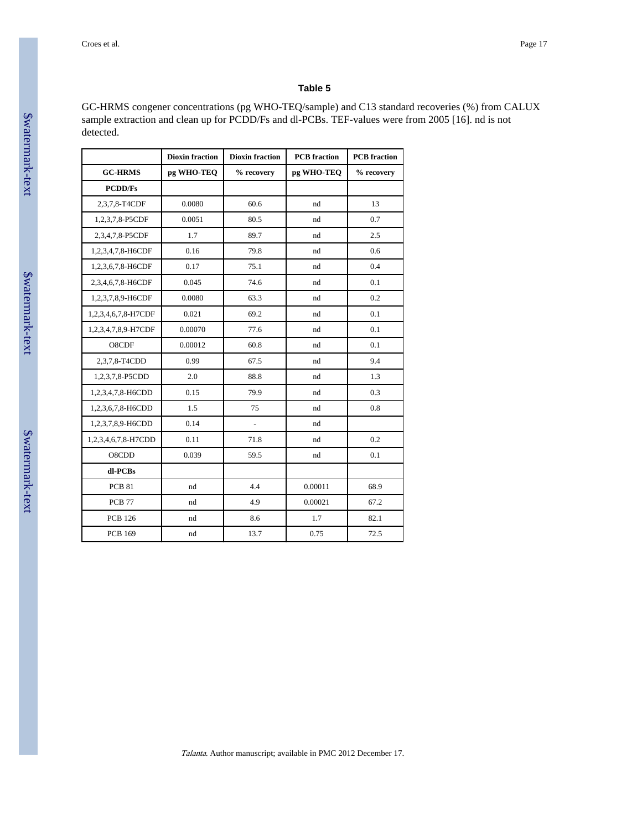GC-HRMS congener concentrations (pg WHO-TEQ/sample) and C13 standard recoveries (%) from CALUX sample extraction and clean up for PCDD/Fs and dl-PCBs. TEF-values were from 2005 [16]. nd is not detected.

|                     | <b>Dioxin fraction</b> | <b>Dioxin fraction</b> | <b>PCB</b> fraction | <b>PCB</b> fraction |  |  |
|---------------------|------------------------|------------------------|---------------------|---------------------|--|--|
| <b>GC-HRMS</b>      | pg WHO-TEQ             | % recovery             | pg WHO-TEQ          | % recovery          |  |  |
| <b>PCDD/Fs</b>      |                        |                        |                     |                     |  |  |
| 2,3,7,8-T4CDF       | 0.0080                 | 60.6                   | nd                  | 13                  |  |  |
| 1,2,3,7,8-P5CDF     | 0.0051                 | 80.5                   | nd                  | 0.7                 |  |  |
| 2,3,4,7,8-P5CDF     | 1.7                    | 89.7                   | nd                  | 2.5<br>0.6<br>0.4   |  |  |
| 1,2,3,4,7,8-H6CDF   | 0.16                   | 79.8                   | nd                  |                     |  |  |
| 1,2,3,6,7,8-H6CDF   | 0.17                   | 75.1                   | nd                  |                     |  |  |
| 2,3,4,6,7,8-H6CDF   | 0.045                  | 74.6                   | nd                  | 0.1                 |  |  |
| 1,2,3,7,8,9-H6CDF   | 0.0080                 | 63.3                   | nd                  | 0.2                 |  |  |
| 1,2,3,4,6,7,8-H7CDF | 0.021                  | 69.2                   | nd                  | 0.1<br>0.1          |  |  |
| 1,2,3,4,7,8,9-H7CDF | 0.00070                | 77.6                   | nd                  |                     |  |  |
| O8CDF               | 0.00012                | 60.8                   | nd                  | 0.1<br>9.4<br>1.3   |  |  |
| 2,3,7,8-T4CDD       | 0.99                   | 67.5                   | nd                  |                     |  |  |
| 1,2,3,7,8-P5CDD     | 2.0                    | 88.8                   | nd                  |                     |  |  |
| 1,2,3,4,7,8-H6CDD   | 0.15                   | 79.9                   | nd                  | 0.3                 |  |  |
| 1,2,3,6,7,8-H6CDD   | 1.5                    | 75                     | nd                  | 0.8                 |  |  |
| 1,2,3,7,8,9-H6CDD   | 0.14                   | $\overline{a}$         | nd                  |                     |  |  |
| 1,2,3,4,6,7,8-H7CDD | 0.11                   | 71.8                   | nd                  | 0.2                 |  |  |
| O8CDD               | 0.039                  | 59.5                   | nd                  | 0.1                 |  |  |
| dl-PCBs             |                        |                        |                     |                     |  |  |
| <b>PCB 81</b>       | nd                     | 4.4                    | 0.00011             | 68.9                |  |  |
| <b>PCB 77</b>       | nd                     | 4.9                    | 0.00021             | 67.2                |  |  |
| <b>PCB 126</b>      | nd                     | 8.6                    | 1.7                 | 82.1                |  |  |
| <b>PCB 169</b>      | nd                     | 13.7                   | 0.75                | 72.5                |  |  |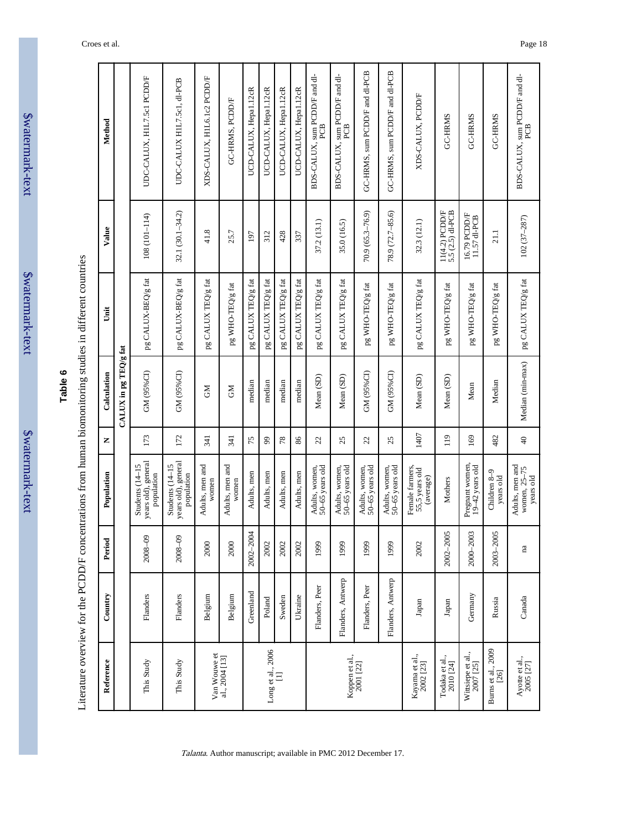| vaterman |  |
|----------|--|
|          |  |
|          |  |
|          |  |
|          |  |
|          |  |
|          |  |
|          |  |
| texi     |  |
|          |  |
|          |  |
|          |  |
|          |  |
|          |  |
|          |  |
|          |  |
|          |  |
|          |  |
|          |  |
|          |  |
|          |  |

| ဖ     |  |
|-------|--|
| Table |  |
|       |  |
|       |  |
|       |  |

Literature overview for the PCDD/F concentrations from human biomonitoring studies in different countries Literature overview for the PCDD/F concentrations from human biomonitoring studies in different countries

| Method      |                         | UDC-CALUX, H1L7.5c1 PCDD/F                           | UDC-CALUX HIL7.5c1, dl-PCB                           | XDS-CALUX, HIL6.1c2 PCDD/F | GC-HRMS, PCDD/F          | UCD-CALUX, Hepal.12cR | UCD-CALUX, Hepal.12cR | UCD-CALUX, Hepal.12cR | UCD-CALUX, Hepal.12cR | BDS-CALUX, sum PCDD/F and dl-<br>PCB | BDS-CALUX, sum PCDD/F and dl-<br>PCB | GC-HRMS, sum PCDD/F and dl-PCB    | GC-HRMS, sum PCDD/F and dl-PCB    | XDS-CALUX, PCDD/F                              | GC-HRMS                            | GC-HRMS                                | GC-HRMS                    | BDS-CALUX, sum PCDD/F and dl-<br>PCB         |
|-------------|-------------------------|------------------------------------------------------|------------------------------------------------------|----------------------------|--------------------------|-----------------------|-----------------------|-----------------------|-----------------------|--------------------------------------|--------------------------------------|-----------------------------------|-----------------------------------|------------------------------------------------|------------------------------------|----------------------------------------|----------------------------|----------------------------------------------|
| Value       |                         | 108 (101-114)                                        | 32.1 (30.1-34.2)                                     | 41.8                       | 25.7                     | 197                   | 312                   | 428                   | 337                   | 37.2 (13.1)                          | 35.0 (16.5)                          | $70.9(65.3 - 76.9)$               | 78.9 (72.7-85.6)                  | 32.3 (12.1)                                    | 11(4.2) PCDD/F<br>5.5 (2.5) dl-PCB | 16.79 PCDD/F<br>11.57 dl-PCB           | 21.1                       | 102 (37-287)                                 |
| j           |                         | pg CALUX-BEQ/g fat                                   | pg CALUX-BEQ/g fat                                   | pg CALUX TEQ/g fat         | pg WHO-TEQ/g fat         | pg CALUX TEQ/g fat    | pg CALUX TEQ/g fat    | pg CALUX TEQ/g fat    | pg CALUX TEQ/g fat    | pg CALUX TEQ/g fat                   | pg CALUX TEQ/g fat                   | pg WHO-TEQ/g fat                  | pg WHO-TEQ/g fat                  | pg CALUX TEQ/g fat                             | pg WHO-TEQ/g fat                   | pg WHO-TEQ/g fat                       | pg WHO-TEQ/g fat           | pg CALUX TEQ/g fat                           |
| Calculation | $CALUX$ in pg TEQ/g fat | GM (95%CI)                                           | GM (95%CI)                                           | <b>NO</b>                  | <b>NC</b>                | median                | median                | median                | median                | Mean (SD)                            | Mean (SD)                            | GM (95%CI)                        | GM (95%CI)                        | Mean (SD)                                      | Mean (SD)                          | Mean                                   | Median                     | Median (min-max)                             |
| Z           |                         | 173                                                  | 172                                                  | 341                        | 341                      | 75                    | $\mathfrak{g}$        | 78                    | 86                    | 22                                   | 25                                   | 22                                | 25                                | 1407                                           | 119                                | 169                                    | 482                        | $\overline{a}$                               |
| Population  |                         | years old), general<br>Students (14-15<br>population | years old), general<br>Students (14-15<br>population | Adults, men and<br>women   | Adults, men and<br>women | Adults, men           | Adults, men           | Adults, men           | Adults, men           | 50-65 years old<br>Adults, women,    | 50-65 years old<br>Adults, women,    | 50-65 years old<br>Adults, women, | 50-65 years old<br>Adults, women, | Female farmers,<br>55,5 years old<br>(average) | Mothers                            | Pregnant women,<br>$19 - 42$ years old | Children 8-9<br>years old  | Adults, men and<br>women, 25-75<br>years old |
| Period      |                         | 2008-09                                              | 2008-09                                              | 2000                       | 2000                     | 2002-2004             | 2002                  | 2002                  | 2002                  | 1999                                 | 1999                                 | 1999                              | 1999                              | 2002                                           | 2002-2005                          | 2000-2003                              | 2003-2005                  | na                                           |
| Country     |                         | Flanders                                             | Flanders                                             | Belgium                    | Belgium                  | Greenland             | Poland                | Sweden                | Ukraine               | Flanders, Peer                       | Flanders, Antwerp                    | Flanders, Peer                    | Flanders, Antwerp                 | Japan                                          | Japan                              | Germany                                | Russia                     | Canada                                       |
| Reference   |                         | This Study                                           | This Study                                           | Van Wouwe et               | al., 2004 [13]           |                       | Long et al., 2006     | Ξ                     |                       |                                      |                                      | Koppen et al.,<br>$2001$ $[22]$   |                                   | Kayama et al.,<br>2002 [23]                    | Todaka et al.,<br>2010 [24]        | Wittsiepe et al.,<br>2007 [25]         | Burns et al., 2009<br>[26] | Ayotte et al.,<br>$2005$ $[27]$              |